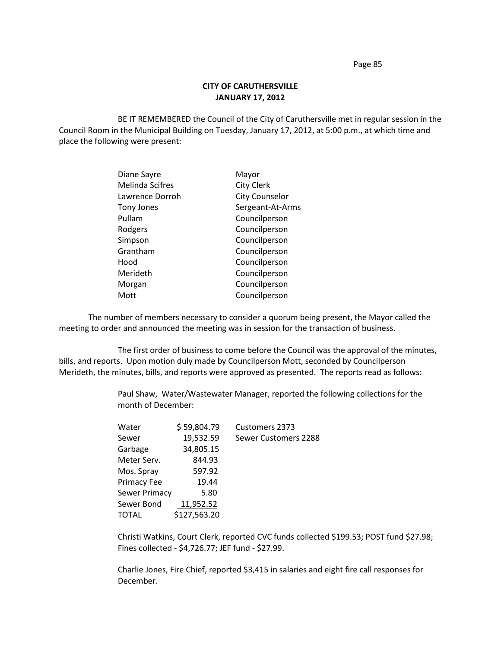Page 85

## **CITY OF CARUTHERSVILLE JANUARY 17, 2012**

BE IT REMEMBERED the Council of the City of Caruthersville met in regular session in the Council Room in the Municipal Building on Tuesday, January 17, 2012, at 5:00 p.m., at which time and place the following were present:

| Diane Sayre            | Mayor                 |
|------------------------|-----------------------|
| <b>Melinda Scifres</b> | <b>City Clerk</b>     |
| Lawrence Dorroh        | <b>City Counselor</b> |
| Tony Jones             | Sergeant-At-Arms      |
| Pullam                 | Councilperson         |
| Rodgers                | Councilperson         |
| Simpson                | Councilperson         |
| Grantham               | Councilperson         |
| Hood                   | Councilperson         |
| Merideth               | Councilperson         |
| Morgan                 | Councilperson         |
| Mott                   | Councilperson         |

The number of members necessary to consider a quorum being present, the Mayor called the meeting to order and announced the meeting was in session for the transaction of business.

The first order of business to come before the Council was the approval of the minutes, bills, and reports. Upon motion duly made by Councilperson Mott, seconded by Councilperson Merideth, the minutes, bills, and reports were approved as presented. The reports read as follows:

> Paul Shaw, Water/Wastewater Manager, reported the following collections for the month of December:

| \$59,804.79  | <b>Customers 2373</b> |
|--------------|-----------------------|
| 19,532.59    | Sewer Customers 2288  |
| 34,805.15    |                       |
| 844.93       |                       |
| 597.92       |                       |
| 19.44        |                       |
| 5.80         |                       |
| 11,952.52    |                       |
| \$127,563.20 |                       |
|              |                       |

Christi Watkins, Court Clerk, reported CVC funds collected \$199.53; POST fund \$27.98; Fines collected - \$4,726.77; JEF fund - \$27.99.

Charlie Jones, Fire Chief, reported \$3,415 in salaries and eight fire call responses for December.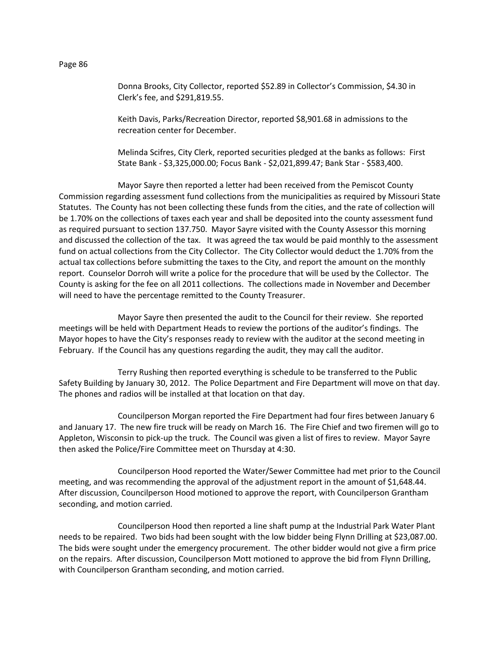Donna Brooks, City Collector, reported \$52.89 in Collector's Commission, \$4.30 in Clerk's fee, and \$291,819.55.

Keith Davis, Parks/Recreation Director, reported \$8,901.68 in admissions to the recreation center for December.

Melinda Scifres, City Clerk, reported securities pledged at the banks as follows: First State Bank - \$3,325,000.00; Focus Bank - \$2,021,899.47; Bank Star - \$583,400.

Mayor Sayre then reported a letter had been received from the Pemiscot County Commission regarding assessment fund collections from the municipalities as required by Missouri State Statutes. The County has not been collecting these funds from the cities, and the rate of collection will be 1.70% on the collections of taxes each year and shall be deposited into the county assessment fund as required pursuant to section 137.750. Mayor Sayre visited with the County Assessor this morning and discussed the collection of the tax. It was agreed the tax would be paid monthly to the assessment fund on actual collections from the City Collector. The City Collector would deduct the 1.70% from the actual tax collections before submitting the taxes to the City, and report the amount on the monthly report. Counselor Dorroh will write a police for the procedure that will be used by the Collector. The County is asking for the fee on all 2011 collections. The collections made in November and December will need to have the percentage remitted to the County Treasurer.

Mayor Sayre then presented the audit to the Council for their review. She reported meetings will be held with Department Heads to review the portions of the auditor's findings. The Mayor hopes to have the City's responses ready to review with the auditor at the second meeting in February. If the Council has any questions regarding the audit, they may call the auditor.

Terry Rushing then reported everything is schedule to be transferred to the Public Safety Building by January 30, 2012. The Police Department and Fire Department will move on that day. The phones and radios will be installed at that location on that day.

Councilperson Morgan reported the Fire Department had four fires between January 6 and January 17. The new fire truck will be ready on March 16. The Fire Chief and two firemen will go to Appleton, Wisconsin to pick-up the truck. The Council was given a list of fires to review. Mayor Sayre then asked the Police/Fire Committee meet on Thursday at 4:30.

Councilperson Hood reported the Water/Sewer Committee had met prior to the Council meeting, and was recommending the approval of the adjustment report in the amount of \$1,648.44. After discussion, Councilperson Hood motioned to approve the report, with Councilperson Grantham seconding, and motion carried.

Councilperson Hood then reported a line shaft pump at the Industrial Park Water Plant needs to be repaired. Two bids had been sought with the low bidder being Flynn Drilling at \$23,087.00. The bids were sought under the emergency procurement. The other bidder would not give a firm price on the repairs. After discussion, Councilperson Mott motioned to approve the bid from Flynn Drilling, with Councilperson Grantham seconding, and motion carried.

Page 86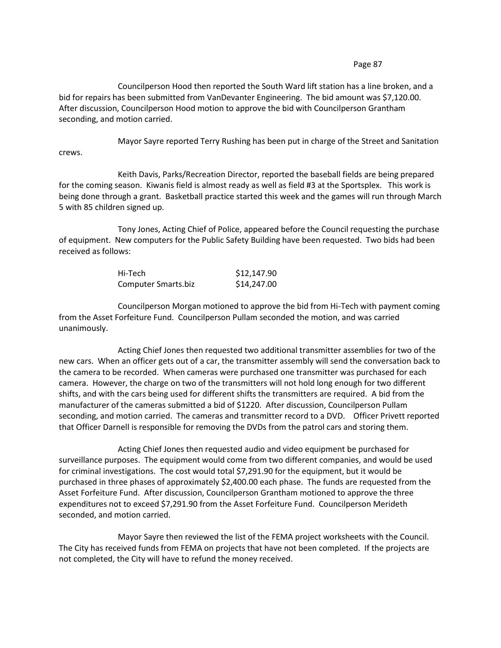## Page 87

Councilperson Hood then reported the South Ward lift station has a line broken, and a bid for repairs has been submitted from VanDevanter Engineering. The bid amount was \$7,120.00. After discussion, Councilperson Hood motion to approve the bid with Councilperson Grantham seconding, and motion carried.

Mayor Sayre reported Terry Rushing has been put in charge of the Street and Sanitation crews.

Keith Davis, Parks/Recreation Director, reported the baseball fields are being prepared for the coming season. Kiwanis field is almost ready as well as field #3 at the Sportsplex. This work is being done through a grant. Basketball practice started this week and the games will run through March 5 with 85 children signed up.

Tony Jones, Acting Chief of Police, appeared before the Council requesting the purchase of equipment. New computers for the Public Safety Building have been requested. Two bids had been received as follows:

| Hi-Tech             | \$12,147.90 |
|---------------------|-------------|
| Computer Smarts.biz | \$14,247.00 |

Councilperson Morgan motioned to approve the bid from Hi-Tech with payment coming from the Asset Forfeiture Fund. Councilperson Pullam seconded the motion, and was carried unanimously.

Acting Chief Jones then requested two additional transmitter assemblies for two of the new cars. When an officer gets out of a car, the transmitter assembly will send the conversation back to the camera to be recorded. When cameras were purchased one transmitter was purchased for each camera. However, the charge on two of the transmitters will not hold long enough for two different shifts, and with the cars being used for different shifts the transmitters are required. A bid from the manufacturer of the cameras submitted a bid of \$1220. After discussion, Councilperson Pullam seconding, and motion carried. The cameras and transmitter record to a DVD. Officer Privett reported that Officer Darnell is responsible for removing the DVDs from the patrol cars and storing them.

Acting Chief Jones then requested audio and video equipment be purchased for surveillance purposes. The equipment would come from two different companies, and would be used for criminal investigations. The cost would total \$7,291.90 for the equipment, but it would be purchased in three phases of approximately \$2,400.00 each phase. The funds are requested from the Asset Forfeiture Fund. After discussion, Councilperson Grantham motioned to approve the three expenditures not to exceed \$7,291.90 from the Asset Forfeiture Fund. Councilperson Merideth seconded, and motion carried.

Mayor Sayre then reviewed the list of the FEMA project worksheets with the Council. The City has received funds from FEMA on projects that have not been completed. If the projects are not completed, the City will have to refund the money received.